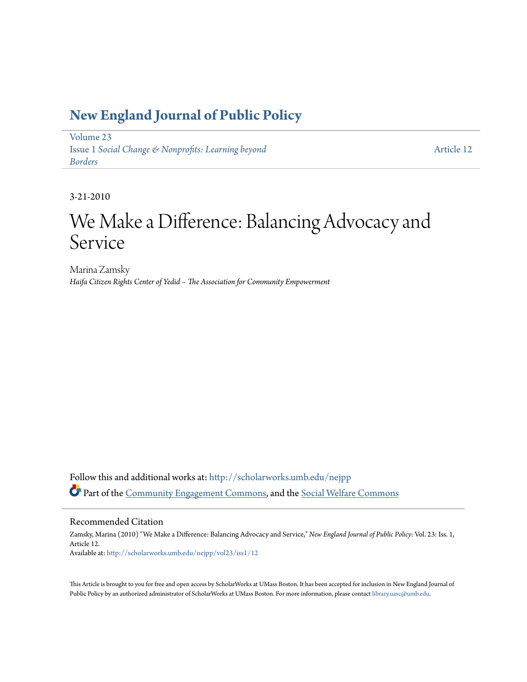### **[New England Journal of Public Policy](http://scholarworks.umb.edu/nejpp?utm_source=scholarworks.umb.edu%2Fnejpp%2Fvol23%2Fiss1%2F12&utm_medium=PDF&utm_campaign=PDFCoverPages)**

[Volume 23](http://scholarworks.umb.edu/nejpp/vol23?utm_source=scholarworks.umb.edu%2Fnejpp%2Fvol23%2Fiss1%2F12&utm_medium=PDF&utm_campaign=PDFCoverPages) Issue 1 *[Social Change & Nonprofits: Learning beyond](http://scholarworks.umb.edu/nejpp/vol23/iss1?utm_source=scholarworks.umb.edu%2Fnejpp%2Fvol23%2Fiss1%2F12&utm_medium=PDF&utm_campaign=PDFCoverPages) [Borders](http://scholarworks.umb.edu/nejpp/vol23/iss1?utm_source=scholarworks.umb.edu%2Fnejpp%2Fvol23%2Fiss1%2F12&utm_medium=PDF&utm_campaign=PDFCoverPages)*

[Article 12](http://scholarworks.umb.edu/nejpp/vol23/iss1/12?utm_source=scholarworks.umb.edu%2Fnejpp%2Fvol23%2Fiss1%2F12&utm_medium=PDF&utm_campaign=PDFCoverPages)

3-21-2010

# We Make a Difference: Balancing Advocacy and Service

Marina Zamsky *Haifa Citizen Rights Center of Yedid – The Association for Community Empowerment*

Follow this and additional works at: [http://scholarworks.umb.edu/nejpp](http://scholarworks.umb.edu/nejpp?utm_source=scholarworks.umb.edu%2Fnejpp%2Fvol23%2Fiss1%2F12&utm_medium=PDF&utm_campaign=PDFCoverPages) Part of the [Community Engagement Commons](http://network.bepress.com/hgg/discipline/1028?utm_source=scholarworks.umb.edu%2Fnejpp%2Fvol23%2Fiss1%2F12&utm_medium=PDF&utm_campaign=PDFCoverPages), and the [Social Welfare Commons](http://network.bepress.com/hgg/discipline/401?utm_source=scholarworks.umb.edu%2Fnejpp%2Fvol23%2Fiss1%2F12&utm_medium=PDF&utm_campaign=PDFCoverPages)

#### Recommended Citation

Zamsky, Marina (2010) "We Make a Difference: Balancing Advocacy and Service," *New England Journal of Public Policy*: Vol. 23: Iss. 1, Article 12. Available at: [http://scholarworks.umb.edu/nejpp/vol23/iss1/12](http://scholarworks.umb.edu/nejpp/vol23/iss1/12?utm_source=scholarworks.umb.edu%2Fnejpp%2Fvol23%2Fiss1%2F12&utm_medium=PDF&utm_campaign=PDFCoverPages)

This Article is brought to you for free and open access by ScholarWorks at UMass Boston. It has been accepted for inclusion in New England Journal of Public Policy by an authorized administrator of ScholarWorks at UMass Boston. For more information, please contact [library.uasc@umb.edu](mailto:library.uasc@umb.edu).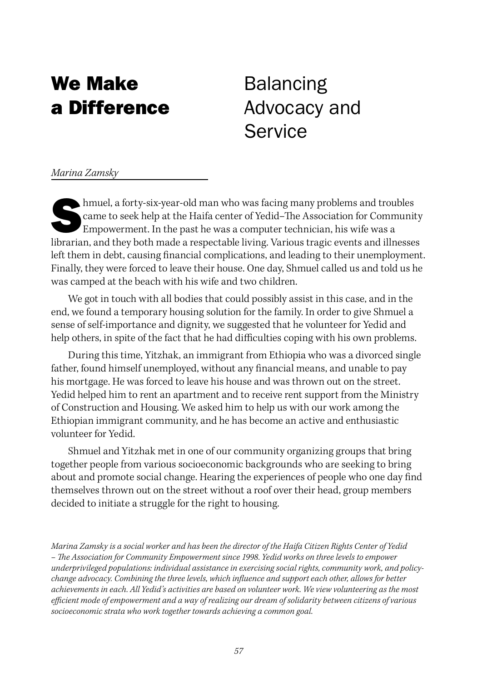### We Make a Difference

## Balancing Advocacy and Service

*Marina Zamsky*

 $\blacktriangleright$ hmuel, a forty-six-year-old man who was facing many problems and troubles came to seek help at the Haifa center of Yedid–The Association for Community Empowerment. In the past he was a computer technician, his wife was a librarian, and they both made a respectable living. Various tragic events and illnesses left them in debt, causing financial complications, and leading to their unemployment. Finally, they were forced to leave their house. One day, Shmuel called us and told us he was camped at the beach with his wife and two children.

We got in touch with all bodies that could possibly assist in this case, and in the end, we found a temporary housing solution for the family. In order to give Shmuel a sense of self-importance and dignity, we suggested that he volunteer for Yedid and help others, in spite of the fact that he had difficulties coping with his own problems.

During this time, Yitzhak, an immigrant from Ethiopia who was a divorced single father, found himself unemployed, without any financial means, and unable to pay his mortgage. He was forced to leave his house and was thrown out on the street. Yedid helped him to rent an apartment and to receive rent support from the Ministry of Construction and Housing. We asked him to help us with our work among the Ethiopian immigrant community, and he has become an active and enthusiastic volunteer for Yedid.

Shmuel and Yitzhak met in one of our community organizing groups that bring together people from various socioeconomic backgrounds who are seeking to bring about and promote social change. Hearing the experiences of people who one day find themselves thrown out on the street without a roof over their head, group members decided to initiate a struggle for the right to housing.

*Marina Zamsky is a social worker and has been the director of the Haifa Citizen Rights Center of Yedid – The Association for Community Empowerment since 1998. Yedid works on three levels to empower underprivileged populations: individual assistance in exercising social rights, community work, and policychange advocacy. Combining the three levels, which influence and support each other, allows for better achievements in each. All Yedid's activities are based on volunteer work. We view volunteering as the most efficient mode of empowerment and a way of realizing our dream of solidarity between citizens of various socioeconomic strata who work together towards achieving a common goal.*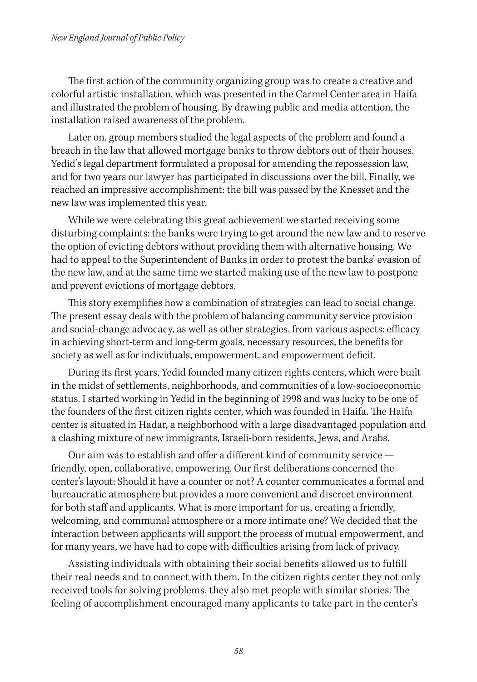#### *New England Journal of Public Policy*

The first action of the community organizing group was to create a creative and colorful artistic installation, which was presented in the Carmel Center area in Haifa and illustrated the problem of housing. By drawing public and media attention, the installation raised awareness of the problem.

Later on, group members studied the legal aspects of the problem and found a breach in the law that allowed mortgage banks to throw debtors out of their houses. Yedid's legal department formulated a proposal for amending the repossession law, and for two years our lawyer has participated in discussions over the bill. Finally, we reached an impressive accomplishment: the bill was passed by the Knesset and the new law was implemented this year.

While we were celebrating this great achievement we started receiving some disturbing complaints: the banks were trying to get around the new law and to reserve the option of evicting debtors without providing them with alternative housing. We had to appeal to the Superintendent of Banks in order to protest the banks' evasion of the new law, and at the same time we started making use of the new law to postpone and prevent evictions of mortgage debtors.

This story exemplifies how a combination of strategies can lead to social change. The present essay deals with the problem of balancing community service provision and social-change advocacy, as well as other strategies, from various aspects: efficacy in achieving short-term and long-term goals, necessary resources, the benefits for society as well as for individuals, empowerment, and empowerment deficit.

During its first years, Yedid founded many citizen rights centers, which were built in the midst of settlements, neighborhoods, and communities of a low-socioeconomic status. I started working in Yedid in the beginning of 1998 and was lucky to be one of the founders of the first citizen rights center, which was founded in Haifa. The Haifa center is situated in Hadar, a neighborhood with a large disadvantaged population and a clashing mixture of new immigrants, Israeli-born residents, Jews, and Arabs.

Our aim was to establish and offer a different kind of community service friendly, open, collaborative, empowering. Our first deliberations concerned the center's layout: Should it have a counter or not? A counter communicates a formal and bureaucratic atmosphere but provides a more convenient and discreet environment for both staff and applicants. What is more important for us, creating a friendly, welcoming, and communal atmosphere or a more intimate one? We decided that the interaction between applicants will support the process of mutual empowerment, and for many years, we have had to cope with difficulties arising from lack of privacy.

Assisting individuals with obtaining their social benefits allowed us to fulfill their real needs and to connect with them. In the citizen rights center they not only received tools for solving problems, they also met people with similar stories. The feeling of accomplishment encouraged many applicants to take part in the center's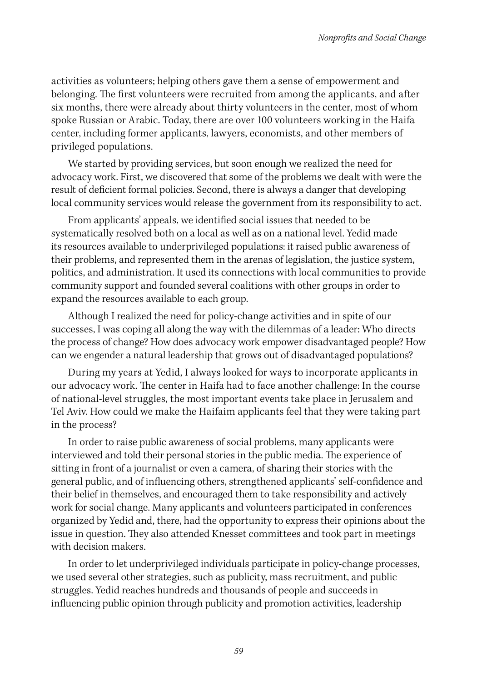activities as volunteers; helping others gave them a sense of empowerment and belonging. The first volunteers were recruited from among the applicants, and after six months, there were already about thirty volunteers in the center, most of whom spoke Russian or Arabic. Today, there are over 100 volunteers working in the Haifa center, including former applicants, lawyers, economists, and other members of privileged populations.

We started by providing services, but soon enough we realized the need for advocacy work. First, we discovered that some of the problems we dealt with were the result of deficient formal policies. Second, there is always a danger that developing local community services would release the government from its responsibility to act.

From applicants' appeals, we identified social issues that needed to be systematically resolved both on a local as well as on a national level. Yedid made its resources available to underprivileged populations: it raised public awareness of their problems, and represented them in the arenas of legislation, the justice system, politics, and administration. It used its connections with local communities to provide community support and founded several coalitions with other groups in order to expand the resources available to each group.

Although I realized the need for policy-change activities and in spite of our successes, I was coping all along the way with the dilemmas of a leader: Who directs the process of change? How does advocacy work empower disadvantaged people? How can we engender a natural leadership that grows out of disadvantaged populations?

During my years at Yedid, I always looked for ways to incorporate applicants in our advocacy work. The center in Haifa had to face another challenge: In the course of national-level struggles, the most important events take place in Jerusalem and Tel Aviv. How could we make the Haifaim applicants feel that they were taking part in the process?

In order to raise public awareness of social problems, many applicants were interviewed and told their personal stories in the public media. The experience of sitting in front of a journalist or even a camera, of sharing their stories with the general public, and of influencing others, strengthened applicants' self-confidence and their belief in themselves, and encouraged them to take responsibility and actively work for social change. Many applicants and volunteers participated in conferences organized by Yedid and, there, had the opportunity to express their opinions about the issue in question. They also attended Knesset committees and took part in meetings with decision makers.

In order to let underprivileged individuals participate in policy-change processes, we used several other strategies, such as publicity, mass recruitment, and public struggles. Yedid reaches hundreds and thousands of people and succeeds in influencing public opinion through publicity and promotion activities, leadership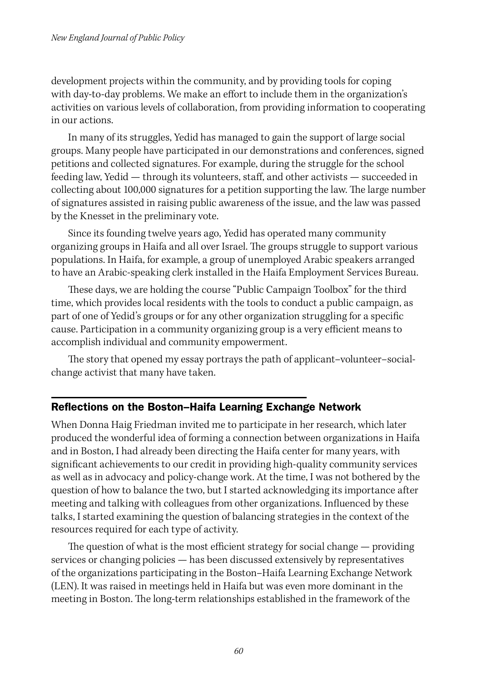development projects within the community, and by providing tools for coping with day-to-day problems. We make an effort to include them in the organization's activities on various levels of collaboration, from providing information to cooperating in our actions.

In many of its struggles, Yedid has managed to gain the support of large social groups. Many people have participated in our demonstrations and conferences, signed petitions and collected signatures. For example, during the struggle for the school feeding law, Yedid — through its volunteers, staff, and other activists — succeeded in collecting about 100,000 signatures for a petition supporting the law. The large number of signatures assisted in raising public awareness of the issue, and the law was passed by the Knesset in the preliminary vote.

Since its founding twelve years ago, Yedid has operated many community organizing groups in Haifa and all over Israel. The groups struggle to support various populations. In Haifa, for example, a group of unemployed Arabic speakers arranged to have an Arabic-speaking clerk installed in the Haifa Employment Services Bureau.

These days, we are holding the course "Public Campaign Toolbox" for the third time, which provides local residents with the tools to conduct a public campaign, as part of one of Yedid's groups or for any other organization struggling for a specific cause. Participation in a community organizing group is a very efficient means to accomplish individual and community empowerment.

The story that opened my essay portrays the path of applicant–volunteer–socialchange activist that many have taken.

#### Reflections on the Boston–Haifa Learning Exchange Network

When Donna Haig Friedman invited me to participate in her research, which later produced the wonderful idea of forming a connection between organizations in Haifa and in Boston, I had already been directing the Haifa center for many years, with significant achievements to our credit in providing high-quality community services as well as in advocacy and policy-change work. At the time, I was not bothered by the question of how to balance the two, but I started acknowledging its importance after meeting and talking with colleagues from other organizations. Influenced by these talks, I started examining the question of balancing strategies in the context of the resources required for each type of activity.

The question of what is the most efficient strategy for social change — providing services or changing policies — has been discussed extensively by representatives of the organizations participating in the Boston–Haifa Learning Exchange Network (LEN). It was raised in meetings held in Haifa but was even more dominant in the meeting in Boston. The long-term relationships established in the framework of the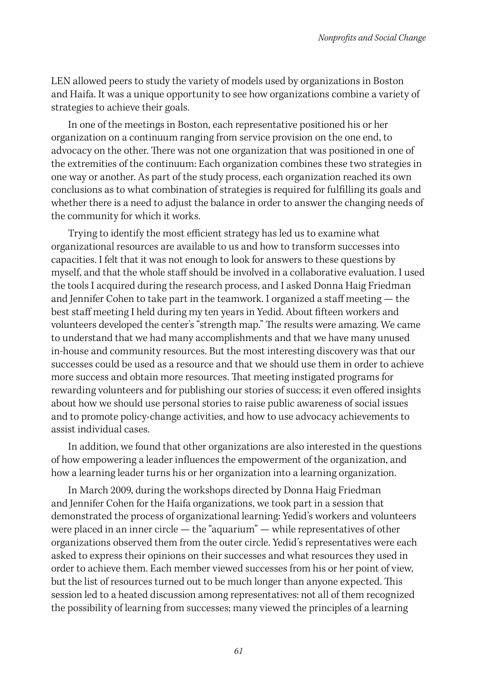LEN allowed peers to study the variety of models used by organizations in Boston and Haifa. It was a unique opportunity to see how organizations combine a variety of strategies to achieve their goals.

In one of the meetings in Boston, each representative positioned his or her organization on a continuum ranging from service provision on the one end, to advocacy on the other. There was not one organization that was positioned in one of the extremities of the continuum: Each organization combines these two strategies in one way or another. As part of the study process, each organization reached its own conclusions as to what combination of strategies is required for fulfilling its goals and whether there is a need to adjust the balance in order to answer the changing needs of the community for which it works.

Trying to identify the most efficient strategy has led us to examine what organizational resources are available to us and how to transform successes into capacities. I felt that it was not enough to look for answers to these questions by myself, and that the whole staff should be involved in a collaborative evaluation. I used the tools I acquired during the research process, and I asked Donna Haig Friedman and Jennifer Cohen to take part in the teamwork. I organized a staff meeting — the best staff meeting I held during my ten years in Yedid. About fifteen workers and volunteers developed the center's "strength map." The results were amazing. We came to understand that we had many accomplishments and that we have many unused in-house and community resources. But the most interesting discovery was that our successes could be used as a resource and that we should use them in order to achieve more success and obtain more resources. That meeting instigated programs for rewarding volunteers and for publishing our stories of success; it even offered insights about how we should use personal stories to raise public awareness of social issues and to promote policy-change activities, and how to use advocacy achievements to assist individual cases.

In addition, we found that other organizations are also interested in the questions of how empowering a leader influences the empowerment of the organization, and how a learning leader turns his or her organization into a learning organization.

In March 2009, during the workshops directed by Donna Haig Friedman and Jennifer Cohen for the Haifa organizations, we took part in a session that demonstrated the process of organizational learning: Yedid's workers and volunteers were placed in an inner circle — the "aquarium" — while representatives of other organizations observed them from the outer circle. Yedid's representatives were each asked to express their opinions on their successes and what resources they used in order to achieve them. Each member viewed successes from his or her point of view, but the list of resources turned out to be much longer than anyone expected. This session led to a heated discussion among representatives: not all of them recognized the possibility of learning from successes; many viewed the principles of a learning